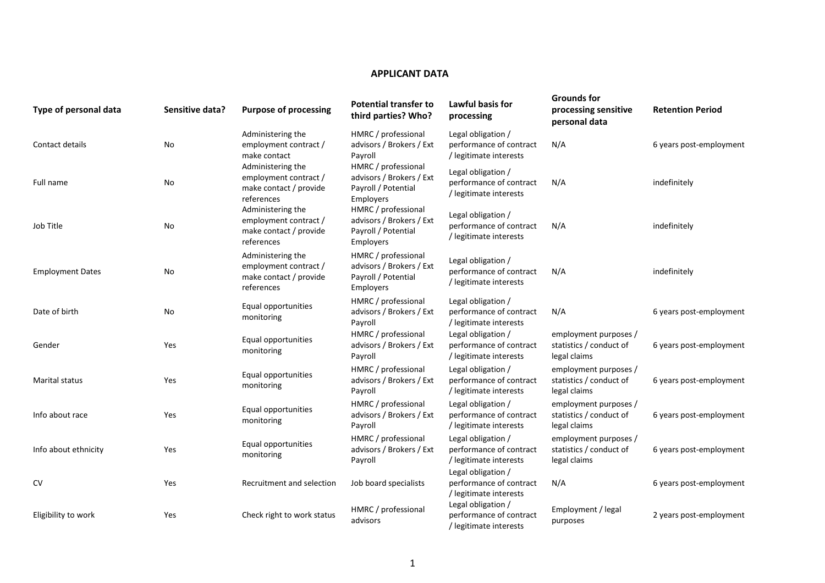## **APPLICANT DATA**

| Type of personal data   | Sensitive data? | <b>Purpose of processing</b>                                                       | <b>Potential transfer to</b><br>third parties? Who?                                 | <b>Lawful basis for</b><br>processing                                   | <b>Grounds for</b><br>processing sensitive<br>personal data      | <b>Retention Period</b> |
|-------------------------|-----------------|------------------------------------------------------------------------------------|-------------------------------------------------------------------------------------|-------------------------------------------------------------------------|------------------------------------------------------------------|-------------------------|
| Contact details         | No              | Administering the<br>employment contract /<br>make contact                         | HMRC / professional<br>advisors / Brokers / Ext<br>Payroll                          | Legal obligation /<br>performance of contract<br>/ legitimate interests | N/A                                                              | 6 years post-employment |
| Full name               | No              | Administering the<br>employment contract /<br>make contact / provide<br>references | HMRC / professional<br>advisors / Brokers / Ext<br>Payroll / Potential<br>Employers | Legal obligation /<br>performance of contract<br>/ legitimate interests | N/A                                                              | indefinitely            |
| Job Title               | No              | Administering the<br>employment contract /<br>make contact / provide<br>references | HMRC / professional<br>advisors / Brokers / Ext<br>Payroll / Potential<br>Employers | Legal obligation /<br>performance of contract<br>/ legitimate interests | N/A                                                              | indefinitely            |
| <b>Employment Dates</b> | No              | Administering the<br>employment contract /<br>make contact / provide<br>references | HMRC / professional<br>advisors / Brokers / Ext<br>Payroll / Potential<br>Employers | Legal obligation /<br>performance of contract<br>/ legitimate interests | N/A                                                              | indefinitely            |
| Date of birth           | No              | Equal opportunities<br>monitoring                                                  | HMRC / professional<br>advisors / Brokers / Ext<br>Payroll                          | Legal obligation /<br>performance of contract<br>/ legitimate interests | N/A                                                              | 6 years post-employment |
| Gender                  | Yes             | Equal opportunities<br>monitoring                                                  | HMRC / professional<br>advisors / Brokers / Ext<br>Payroll                          | Legal obligation /<br>performance of contract<br>/ legitimate interests | employment purposes /<br>statistics / conduct of<br>legal claims | 6 years post-employment |
| Marital status          | Yes             | Equal opportunities<br>monitoring                                                  | HMRC / professional<br>advisors / Brokers / Ext<br>Payroll                          | Legal obligation /<br>performance of contract<br>/ legitimate interests | employment purposes /<br>statistics / conduct of<br>legal claims | 6 years post-employment |
| Info about race         | Yes             | Equal opportunities<br>monitoring                                                  | HMRC / professional<br>advisors / Brokers / Ext<br>Payroll                          | Legal obligation /<br>performance of contract<br>/ legitimate interests | employment purposes /<br>statistics / conduct of<br>legal claims | 6 years post-employment |
| Info about ethnicity    | Yes             | Equal opportunities<br>monitoring                                                  | HMRC / professional<br>advisors / Brokers / Ext<br>Payroll                          | Legal obligation /<br>performance of contract<br>/ legitimate interests | employment purposes /<br>statistics / conduct of<br>legal claims | 6 years post-employment |
| <b>CV</b>               | Yes             | Recruitment and selection                                                          | Job board specialists                                                               | Legal obligation /<br>performance of contract<br>/ legitimate interests | N/A                                                              | 6 years post-employment |
| Eligibility to work     | Yes             | Check right to work status                                                         | HMRC / professional<br>advisors                                                     | Legal obligation /<br>performance of contract<br>/ legitimate interests | Employment / legal<br>purposes                                   | 2 years post-employment |